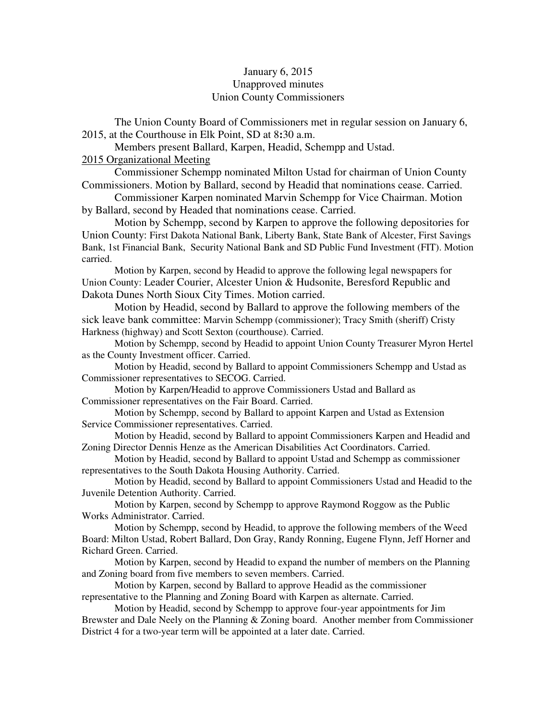# January 6, 2015 Unapproved minutes Union County Commissioners

The Union County Board of Commissioners met in regular session on January 6, 2015, at the Courthouse in Elk Point, SD at 8**:**30 a.m.

Members present Ballard, Karpen, Headid, Schempp and Ustad.

# 2015 Organizational Meeting

 Commissioner Schempp nominated Milton Ustad for chairman of Union County Commissioners. Motion by Ballard, second by Headid that nominations cease. Carried.

 Commissioner Karpen nominated Marvin Schempp for Vice Chairman. Motion by Ballard, second by Headed that nominations cease. Carried.

 Motion by Schempp, second by Karpen to approve the following depositories for Union County: First Dakota National Bank, Liberty Bank, State Bank of Alcester, First Savings Bank, 1st Financial Bank, Security National Bank and SD Public Fund Investment (FIT). Motion carried.

 Motion by Karpen, second by Headid to approve the following legal newspapers for Union County: Leader Courier, Alcester Union & Hudsonite, Beresford Republic and Dakota Dunes North Sioux City Times. Motion carried.

 Motion by Headid, second by Ballard to approve the following members of the sick leave bank committee: Marvin Schempp (commissioner); Tracy Smith (sheriff) Cristy Harkness (highway) and Scott Sexton (courthouse). Carried.

 Motion by Schempp, second by Headid to appoint Union County Treasurer Myron Hertel as the County Investment officer. Carried.

 Motion by Headid, second by Ballard to appoint Commissioners Schempp and Ustad as Commissioner representatives to SECOG. Carried.

 Motion by Karpen/Headid to approve Commissioners Ustad and Ballard as Commissioner representatives on the Fair Board. Carried.

 Motion by Schempp, second by Ballard to appoint Karpen and Ustad as Extension Service Commissioner representatives. Carried.

Motion by Headid, second by Ballard to appoint Commissioners Karpen and Headid and Zoning Director Dennis Henze as the American Disabilities Act Coordinators. Carried.

 Motion by Headid, second by Ballard to appoint Ustad and Schempp as commissioner representatives to the South Dakota Housing Authority. Carried.

 Motion by Headid, second by Ballard to appoint Commissioners Ustad and Headid to the Juvenile Detention Authority. Carried.

 Motion by Karpen, second by Schempp to approve Raymond Roggow as the Public Works Administrator. Carried.

 Motion by Schempp, second by Headid, to approve the following members of the Weed Board: Milton Ustad, Robert Ballard, Don Gray, Randy Ronning, Eugene Flynn, Jeff Horner and Richard Green. Carried.

 Motion by Karpen, second by Headid to expand the number of members on the Planning and Zoning board from five members to seven members. Carried.

 Motion by Karpen, second by Ballard to approve Headid as the commissioner representative to the Planning and Zoning Board with Karpen as alternate. Carried.

 Motion by Headid, second by Schempp to approve four-year appointments for Jim Brewster and Dale Neely on the Planning & Zoning board. Another member from Commissioner District 4 for a two-year term will be appointed at a later date. Carried.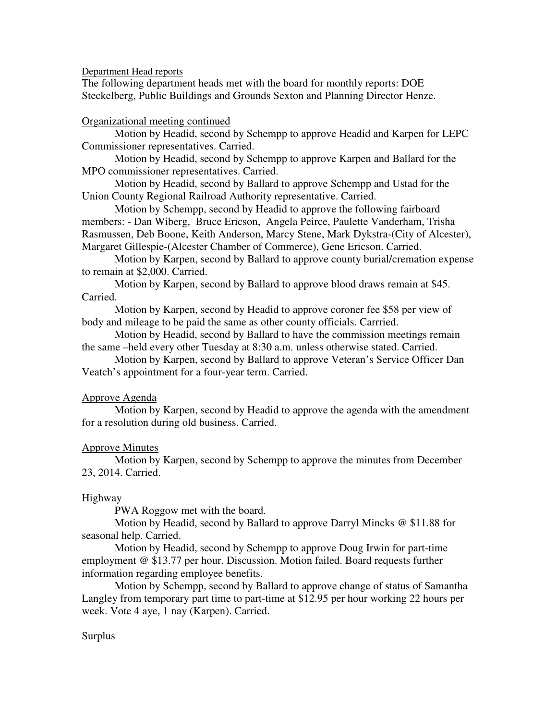Department Head reports

The following department heads met with the board for monthly reports: DOE Steckelberg, Public Buildings and Grounds Sexton and Planning Director Henze.

## Organizational meeting continued

 Motion by Headid, second by Schempp to approve Headid and Karpen for LEPC Commissioner representatives. Carried.

 Motion by Headid, second by Schempp to approve Karpen and Ballard for the MPO commissioner representatives. Carried.

 Motion by Headid, second by Ballard to approve Schempp and Ustad for the Union County Regional Railroad Authority representative. Carried.

 Motion by Schempp, second by Headid to approve the following fairboard members: - Dan Wiberg, Bruce Ericson, Angela Peirce, Paulette Vanderham, Trisha Rasmussen, Deb Boone, Keith Anderson, Marcy Stene, Mark Dykstra-(City of Alcester), Margaret Gillespie-(Alcester Chamber of Commerce), Gene Ericson. Carried.

 Motion by Karpen, second by Ballard to approve county burial/cremation expense to remain at \$2,000. Carried.

 Motion by Karpen, second by Ballard to approve blood draws remain at \$45. Carried.

 Motion by Karpen, second by Headid to approve coroner fee \$58 per view of body and mileage to be paid the same as other county officials. Carrried.

 Motion by Headid, second by Ballard to have the commission meetings remain the same –held every other Tuesday at 8:30 a.m. unless otherwise stated. Carried.

 Motion by Karpen, second by Ballard to approve Veteran's Service Officer Dan Veatch's appointment for a four-year term. Carried.

### Approve Agenda

 Motion by Karpen, second by Headid to approve the agenda with the amendment for a resolution during old business. Carried.

### Approve Minutes

 Motion by Karpen, second by Schempp to approve the minutes from December 23, 2014. Carried.

### Highway

PWA Roggow met with the board.

 Motion by Headid, second by Ballard to approve Darryl Mincks @ \$11.88 for seasonal help. Carried.

 Motion by Headid, second by Schempp to approve Doug Irwin for part-time employment @ \$13.77 per hour. Discussion. Motion failed. Board requests further information regarding employee benefits.

 Motion by Schempp, second by Ballard to approve change of status of Samantha Langley from temporary part time to part-time at \$12.95 per hour working 22 hours per week. Vote 4 aye, 1 nay (Karpen). Carried.

## Surplus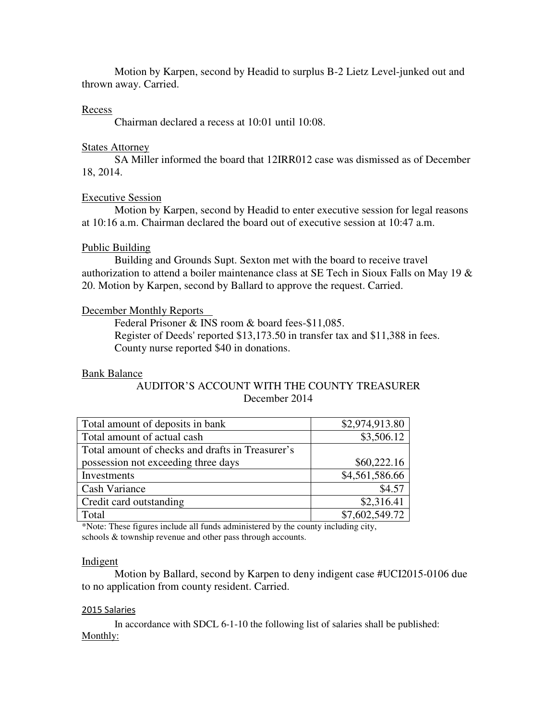Motion by Karpen, second by Headid to surplus B-2 Lietz Level-junked out and thrown away. Carried.

## Recess

Chairman declared a recess at 10:01 until 10:08.

# States Attorney

 SA Miller informed the board that 12IRR012 case was dismissed as of December 18, 2014.

# Executive Session

 Motion by Karpen, second by Headid to enter executive session for legal reasons at 10:16 a.m. Chairman declared the board out of executive session at 10:47 a.m.

# Public Building

 Building and Grounds Supt. Sexton met with the board to receive travel authorization to attend a boiler maintenance class at SE Tech in Sioux Falls on May 19 & 20. Motion by Karpen, second by Ballard to approve the request. Carried.

# December Monthly Reports

 Federal Prisoner & INS room & board fees-\$11,085. Register of Deeds' reported \$13,173.50 in transfer tax and \$11,388 in fees. County nurse reported \$40 in donations.

## Bank Balance

# AUDITOR'S ACCOUNT WITH THE COUNTY TREASURER December 2014

| Total amount of deposits in bank                 | \$2,974,913.80 |
|--------------------------------------------------|----------------|
| Total amount of actual cash                      | \$3,506.12     |
| Total amount of checks and drafts in Treasurer's |                |
| possession not exceeding three days              | \$60,222.16    |
| Investments                                      | \$4,561,586.66 |
| Cash Variance                                    | \$4.57         |
| Credit card outstanding                          | \$2,316.41     |
| Total                                            | \$7,602,549.72 |

\*Note: These figures include all funds administered by the county including city, schools & township revenue and other pass through accounts.

## Indigent

 Motion by Ballard, second by Karpen to deny indigent case #UCI2015-0106 due to no application from county resident. Carried.

## 2015 Salaries

 In accordance with SDCL 6-1-10 the following list of salaries shall be published: Monthly: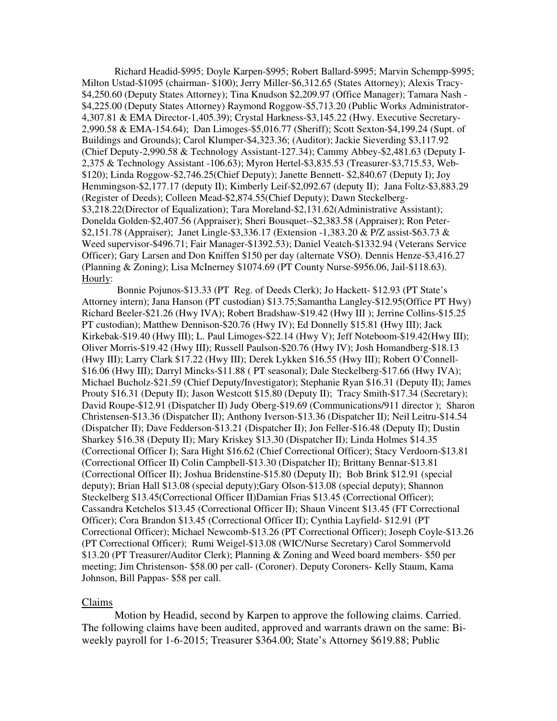Richard Headid-\$995; Doyle Karpen-\$995; Robert Ballard-\$995; Marvin Schempp-\$995; Milton Ustad-\$1095 (chairman- \$100); Jerry Miller-\$6,312.65 (States Attorney); Alexis Tracy- \$4,250.60 (Deputy States Attorney); Tina Knudson \$2,209.97 (Office Manager); Tamara Nash - \$4,225.00 (Deputy States Attorney) Raymond Roggow-\$5,713.20 (Public Works Administrator-4,307.81 & EMA Director-1,405.39); Crystal Harkness-\$3,145.22 (Hwy. Executive Secretary-2,990.58 & EMA-154.64); Dan Limoges-\$5,016.77 (Sheriff); Scott Sexton-\$4,199.24 (Supt. of Buildings and Grounds); Carol Klumper-\$4,323.36; (Auditor); Jackie Sieverding \$3,117.92 (Chief Deputy-2,990.58 & Technology Assistant-127.34); Cammy Abbey-\$2,481.63 (Deputy I-2,375 & Technology Assistant -106.63); Myron Hertel-\$3,835.53 (Treasurer-\$3,715.53, Web- \$120); Linda Roggow-\$2,746.25(Chief Deputy); Janette Bennett- \$2,840.67 (Deputy I); Joy Hemmingson-\$2,177.17 (deputy II); Kimberly Leif-\$2,092.67 (deputy II); Jana Foltz-\$3,883.29 (Register of Deeds); Colleen Mead-\$2,874.55(Chief Deputy); Dawn Steckelberg- \$3,218.22(Director of Equalization); Tara Moreland-\$2,131.62(Administrative Assistant); Donelda Golden-\$2,407.56 (Appraiser); Sheri Bousquet--\$2,383.58 (Appraiser); Ron Peter- \$2,151.78 (Appraiser); Janet Lingle-\$3,336.17 (Extension -1,383.20 & P/Z assist-\$63.73 & Weed supervisor-\$496.71; Fair Manager-\$1392.53); Daniel Veatch-\$1332.94 (Veterans Service Officer); Gary Larsen and Don Kniffen \$150 per day (alternate VSO). Dennis Henze-\$3,416.27 (Planning & Zoning); Lisa McInerney \$1074.69 (PT County Nurse-\$956.06, Jail-\$118.63). Hourly:

 Bonnie Pojunos-\$13.33 (PT Reg. of Deeds Clerk); Jo Hackett- \$12.93 (PT State's Attorney intern); Jana Hanson (PT custodian) \$13.75;Samantha Langley-\$12.95(Office PT Hwy) Richard Beeler-\$21.26 (Hwy IVA); Robert Bradshaw-\$19.42 (Hwy III ); Jerrine Collins-\$15.25 PT custodian); Matthew Dennison-\$20.76 (Hwy IV); Ed Donnelly \$15.81 **(**Hwy III); Jack Kirkebak-\$19.40 (Hwy III); L. Paul Limoges-\$22.14 (Hwy V); Jeff Noteboom-\$19.42(Hwy III); Oliver Morris-\$19.42 (Hwy III); Russell Paulson-\$20.76 (Hwy IV); Josh Homandberg-\$18.13 (Hwy III); Larry Clark \$17.22 (Hwy III); Derek Lykken \$16.55 (Hwy III); Robert O'Connell- \$16.06 (Hwy III); Darryl Mincks-\$11.88 ( PT seasonal); Dale Steckelberg-\$17.66 (Hwy IVA); Michael Bucholz-\$21.59 (Chief Deputy/Investigator); Stephanie Ryan \$16.31 (Deputy II); James Prouty \$16.31 (Deputy II); Jason Westcott \$15.80 (Deputy II); Tracy Smith-\$17.34 (Secretary); David Roupe-\$12.91 (Dispatcher II) Judy Oberg-\$19.69 (Communications/911 director ); Sharon Christensen-\$13.36 (Dispatcher II); Anthony Iverson-\$13.36 (Dispatcher II); Neil Leitru-\$14.54 (Dispatcher II); Dave Fedderson-\$13.21 (Dispatcher II); Jon Feller-\$16.48 (Deputy II); Dustin Sharkey \$16.38 (Deputy II); Mary Kriskey \$13.30 (Dispatcher II); Linda Holmes \$14.35 (Correctional Officer I); Sara Hight \$16.62 (Chief Correctional Officer); Stacy Verdoorn-\$13.81 (Correctional Officer II) Colin Campbell-\$13.30 (Dispatcher II); Brittany Bennar-\$13.81 (Correctional Officer II); Joshua Bridenstine-\$15.80 (Deputy II); Bob Brink \$12.91 (special deputy); Brian Hall \$13.08 (special deputy);Gary Olson-\$13.08 (special deputy); Shannon Steckelberg \$13.45(Correctional Officer II)Damian Frias \$13.45 (Correctional Officer); Cassandra Ketchelos \$13.45 (Correctional Officer II); Shaun Vincent \$13.45 (FT Correctional Officer); Cora Brandon \$13.45 (Correctional Officer II); Cynthia Layfield- \$12.91 (PT Correctional Officer); Michael Newcomb-\$13.26 (PT Correctional Officer); Joseph Coyle-\$13.26 (PT Correctional Officer); Rumi Weigel-\$13.08 (WIC/Nurse Secretary) Carol Sommervold \$13.20 (PT Treasurer/Auditor Clerk); Planning & Zoning and Weed board members- \$50 per meeting; Jim Christenson- \$58.00 per call- (Coroner). Deputy Coroners- Kelly Staum, Kama Johnson, Bill Pappas- \$58 per call.

## Claims

 Motion by Headid, second by Karpen to approve the following claims. Carried. The following claims have been audited, approved and warrants drawn on the same: Biweekly payroll for 1-6-2015; Treasurer \$364.00; State's Attorney \$619.88; Public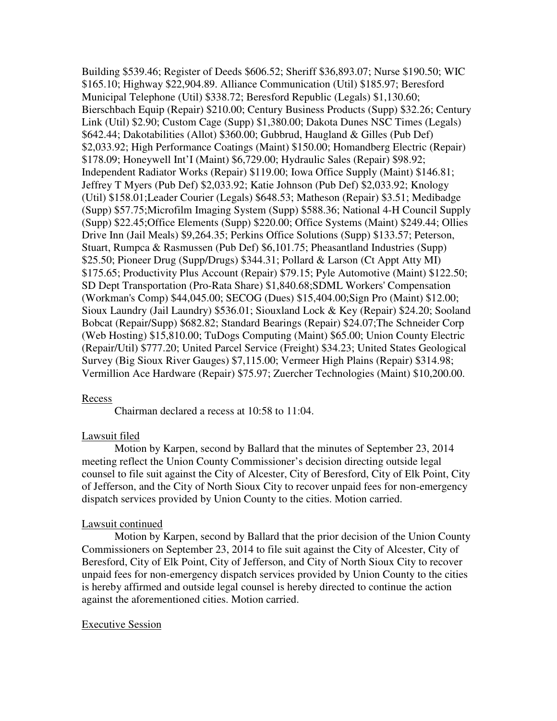Building \$539.46; Register of Deeds \$606.52; Sheriff \$36,893.07; Nurse \$190.50; WIC \$165.10; Highway \$22,904.89. Alliance Communication (Util) \$185.97; Beresford Municipal Telephone (Util) \$338.72; Beresford Republic (Legals) \$1,130.60; Bierschbach Equip (Repair) \$210.00; Century Business Products (Supp) \$32.26; Century Link (Util) \$2.90; Custom Cage (Supp) \$1,380.00; Dakota Dunes NSC Times (Legals) \$642.44; Dakotabilities (Allot) \$360.00; Gubbrud, Haugland & Gilles (Pub Def) \$2,033.92; High Performance Coatings (Maint) \$150.00; Homandberg Electric (Repair) \$178.09; Honeywell Int'I (Maint) \$6,729.00; Hydraulic Sales (Repair) \$98.92; Independent Radiator Works (Repair) \$119.00; Iowa Office Supply (Maint) \$146.81; Jeffrey T Myers (Pub Def) \$2,033.92; Katie Johnson (Pub Def) \$2,033.92; Knology (Util) \$158.01;Leader Courier (Legals) \$648.53; Matheson (Repair) \$3.51; Medibadge (Supp) \$57.75;Microfilm Imaging System (Supp) \$588.36; National 4-H Council Supply (Supp) \$22.45;Office Elements (Supp) \$220.00; Office Systems (Maint) \$249.44; Ollies Drive Inn (Jail Meals) \$9,264.35; Perkins Office Solutions (Supp) \$133.57; Peterson, Stuart, Rumpca & Rasmussen (Pub Def) \$6,101.75; Pheasantland Industries (Supp) \$25.50; Pioneer Drug (Supp/Drugs) \$344.31; Pollard & Larson (Ct Appt Atty MI) \$175.65; Productivity Plus Account (Repair) \$79.15; Pyle Automotive (Maint) \$122.50; SD Dept Transportation (Pro-Rata Share) \$1,840.68;SDML Workers' Compensation (Workman's Comp) \$44,045.00; SECOG (Dues) \$15,404.00;Sign Pro (Maint) \$12.00; Sioux Laundry (Jail Laundry) \$536.01; Siouxland Lock & Key (Repair) \$24.20; Sooland Bobcat (Repair/Supp) \$682.82; Standard Bearings (Repair) \$24.07;The Schneider Corp (Web Hosting) \$15,810.00; TuDogs Computing (Maint) \$65.00; Union County Electric (Repair/Util) \$777.20; United Parcel Service (Freight) \$34.23; United States Geological Survey (Big Sioux River Gauges) \$7,115.00; Vermeer High Plains (Repair) \$314.98; Vermillion Ace Hardware (Repair) \$75.97; Zuercher Technologies (Maint) \$10,200.00.

### Recess

Chairman declared a recess at 10:58 to 11:04.

## Lawsuit filed

 Motion by Karpen, second by Ballard that the minutes of September 23, 2014 meeting reflect the Union County Commissioner's decision directing outside legal counsel to file suit against the City of Alcester, City of Beresford, City of Elk Point, City of Jefferson, and the City of North Sioux City to recover unpaid fees for non-emergency dispatch services provided by Union County to the cities. Motion carried.

## Lawsuit continued

 Motion by Karpen, second by Ballard that the prior decision of the Union County Commissioners on September 23, 2014 to file suit against the City of Alcester, City of Beresford, City of Elk Point, City of Jefferson, and City of North Sioux City to recover unpaid fees for non-emergency dispatch services provided by Union County to the cities is hereby affirmed and outside legal counsel is hereby directed to continue the action against the aforementioned cities. Motion carried.

### Executive Session